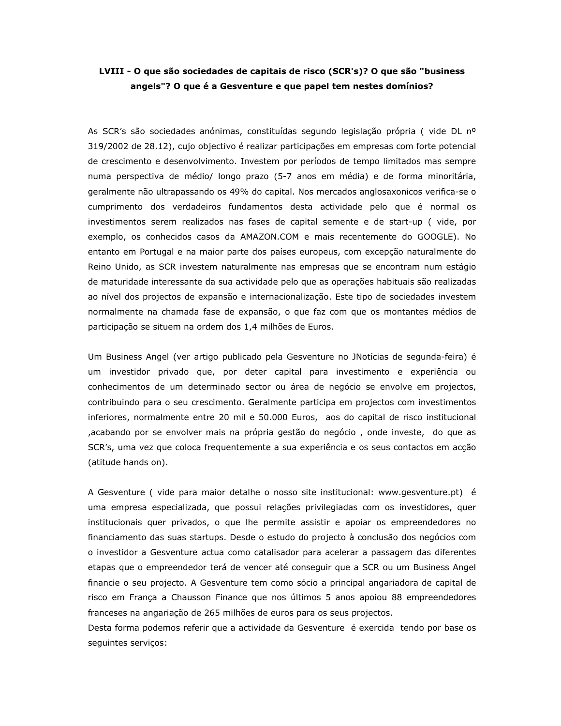## LVIII - O que são sociedades de capitais de risco (SCR's)? O que são "business angels"? O que é a Gesventure e que papel tem nestes domínios?

As SCR's são sociedades anónimas, constituídas segundo legislação própria (vide DL nº 319/2002 de 28.12), cujo objectivo é realizar participações em empresas com forte potencial de crescimento e desenvolvimento. Investem por períodos de tempo limitados mas sempre numa perspectiva de médio/ longo prazo (5-7 anos em média) e de forma minoritária, geralmente não ultrapassando os 49% do capital. Nos mercados anglosaxonicos verifica-se o cumprimento dos verdadeiros fundamentos desta actividade pelo que é normal os investimentos serem realizados nas fases de capital semente e de start-up (vide, por exemplo, os conhecidos casos da AMAZON.COM e mais recentemente do GOOGLE). No entanto em Portugal e na maior parte dos países europeus, com excepção naturalmente do Reino Unido, as SCR investem naturalmente nas empresas que se encontram num estágio de maturidade interessante da sua actividade pelo que as operações habituais são realizadas ao nível dos projectos de expansão e internacionalização. Este tipo de sociedades investem normalmente na chamada fase de expansão, o que faz com que os montantes médios de participação se situem na ordem dos 1,4 milhões de Euros.

Um Business Angel (ver artigo publicado pela Gesventure no JNotícias de segunda-feira) é um investidor privado que, por deter capital para investimento e experiência ou conhecimentos de um determinado sector ou área de negócio se envolve em projectos, contribuindo para o seu crescimento. Geralmente participa em projectos com investimentos inferiores, normalmente entre 20 mil e 50.000 Euros, aos do capital de risco institucional , acabando por se envolver mais na própria gestão do negócio, onde investe, do que as SCR's, uma vez que coloca frequentemente a sua experiência e os seus contactos em acção (atitude hands on).

A Gesventure (vide para maior detalhe o nosso site institucional: www.gesventure.pt) é uma empresa especializada, que possui relações privilegiadas com os investidores, quer institucionais quer privados, o que lhe permite assistir e apoiar os empreendedores no financiamento das suas startups. Desde o estudo do projecto à conclusão dos negócios com o investidor a Gesventure actua como catalisador para acelerar a passagem das diferentes etapas que o empreendedor terá de vencer até conseguir que a SCR ou um Business Angel financie o seu projecto. A Gesventure tem como sócio a principal angariadora de capital de risco em França a Chausson Finance que nos últimos 5 anos apoiou 88 empreendedores franceses na angariação de 265 milhões de euros para os seus projectos.

Desta forma podemos referir que a actividade da Gesventure é exercida tendo por base os sequintes servicos: